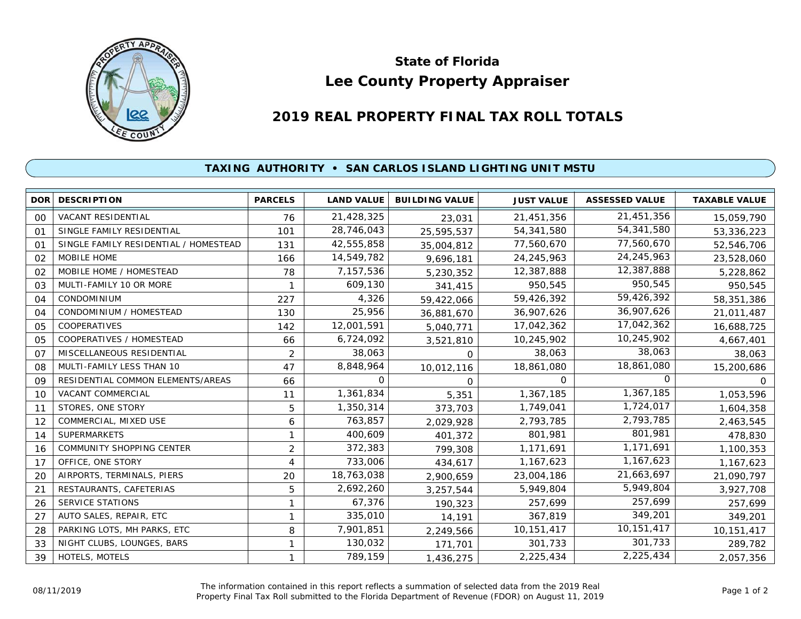

## **Lee County Property Appraiser State of Florida**

## **2019 REAL PROPERTY FINAL TAX ROLL TOTALS**

## **TAXING AUTHORITY • SAN CARLOS ISLAND LIGHTING UNIT MSTU**

|                | <b>DOR DESCRIPTION</b>                | <b>PARCELS</b> | <b>LAND VALUE</b> | <b>BUILDING VALUE</b> | <b>JUST VALUE</b> | <b>ASSESSED VALUE</b> | <b>TAXABLE VALUE</b> |
|----------------|---------------------------------------|----------------|-------------------|-----------------------|-------------------|-----------------------|----------------------|
| 00             | VACANT RESIDENTIAL                    | 76             | 21,428,325        | 23,031                | 21,451,356        | 21,451,356            | 15,059,790           |
| $^{\circ}$     | SINGLE FAMILY RESIDENTIAL             | 101            | 28,746,043        | 25,595,537            | 54,341,580        | 54,341,580            | 53,336,223           |
| 01             | SINGLE FAMILY RESIDENTIAL / HOMESTEAD | 131            | 42,555,858        | 35,004,812            | 77,560,670        | 77,560,670            | 52,546,706           |
| 02             | MOBILE HOME                           | 166            | 14,549,782        | 9,696,181             | 24, 245, 963      | 24, 245, 963          | 23,528,060           |
| 02             | MOBILE HOME / HOMESTEAD               | 78             | 7,157,536         | 5,230,352             | 12,387,888        | 12,387,888            | 5,228,862            |
| 03             | MULTI-FAMILY 10 OR MORE               |                | 609,130           | 341,415               | 950,545           | 950,545               | 950,545              |
| 04             | <b>CONDOMINIUM</b>                    | 227            | 4,326             | 59,422,066            | 59,426,392        | 59,426,392            | 58,351,386           |
| 04             | CONDOMINIUM / HOMESTEAD               | 130            | 25,956            | 36,881,670            | 36,907,626        | 36,907,626            | 21,011,487           |
| 05             | <b>COOPERATIVES</b>                   | 142            | 12,001,591        | 5,040,771             | 17,042,362        | 17,042,362            | 16,688,725           |
| 05             | COOPERATIVES / HOMESTEAD              | 66             | 6,724,092         | 3,521,810             | 10,245,902        | 10,245,902            | 4,667,401            |
| O <sub>7</sub> | MISCELLANEOUS RESIDENTIAL             | 2              | 38,063            | 0                     | 38,063            | 38,063                | 38,063               |
| 08             | MULTI-FAMILY LESS THAN 10             | 47             | 8,848,964         | 10,012,116            | 18,861,080        | 18,861,080            | 15,200,686           |
| 09             | RESIDENTIAL COMMON ELEMENTS/AREAS     | 66             | 0                 | $\Omega$              | 0                 | 0                     | O.                   |
| 10             | <b>VACANT COMMERCIAL</b>              | 11             | 1,361,834         | 5,351                 | 1,367,185         | 1,367,185             | 1,053,596            |
| 11             | STORES, ONE STORY                     | 5              | 1,350,314         | 373,703               | 1,749,041         | 1,724,017             | 1,604,358            |
| 12             | COMMERCIAL, MIXED USE                 | 6              | 763,857           | 2,029,928             | 2,793,785         | 2,793,785             | 2,463,545            |
| 14             | <b>SUPERMARKETS</b>                   |                | 400,609           | 401,372               | 801,981           | 801,981               | 478,830              |
| 16             | COMMUNITY SHOPPING CENTER             | $\overline{2}$ | 372,383           | 799,308               | 1,171,691         | 1,171,691             | 1,100,353            |
| 17             | OFFICE, ONE STORY                     | 4              | 733,006           | 434,617               | 1,167,623         | 1,167,623             | 1,167,623            |
| 20             | AIRPORTS, TERMINALS, PIERS            | 20             | 18,763,038        | 2,900,659             | 23,004,186        | 21,663,697            | 21,090,797           |
| 21             | RESTAURANTS, CAFETERIAS               | 5              | 2,692,260         | 3,257,544             | 5,949,804         | 5,949,804             | 3,927,708            |
| 26             | <b>SERVICE STATIONS</b>               | 1              | 67,376            | 190,323               | 257,699           | 257,699               | 257,699              |
| 27             | AUTO SALES, REPAIR, ETC               |                | 335,010           | 14,191                | 367,819           | 349,201               | 349,201              |
| 28             | PARKING LOTS, MH PARKS, ETC           | 8              | 7,901,851         | 2,249,566             | 10,151,417        | 10,151,417            | 10,151,417           |
| 33             | NIGHT CLUBS, LOUNGES, BARS            |                | 130,032           | 171,701               | 301,733           | 301,733               | 289,782              |
| 39             | HOTELS, MOTELS                        |                | 789,159           | 1,436,275             | 2,225,434         | 2,225,434             | 2,057,356            |